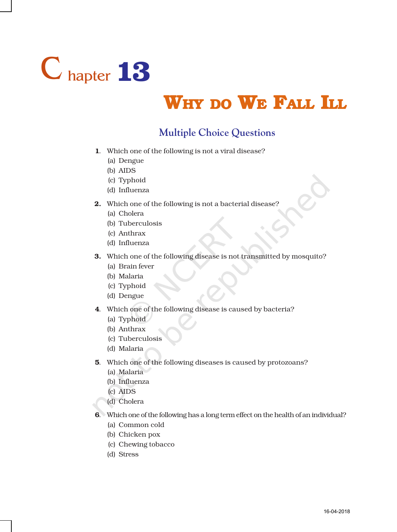

## WHY DO WE FALL ILL

## **Multiple Choice Questions**

- 1. Which one of the following is not a viral disease?
	- (a) Dengue
	- (b) AIDS
	- (c) Typhoid
	- (d) Influenza
- 2. Which one of the following is not a bacterial disease?
	- (a) Cholera
	- (b) Tuberculosis
	- (c) Anthrax
	- (d) Influenza
- 3. Which one of the following disease is not transmitted by mosquito?
	- (a) Brain fever
	- (b) Malaria
	- (c) Typhoid
	- (d) Dengue
- 4. Which one of the following disease is caused by bacteria?
	- (a) Typhoid
	- (b) Anthrax
	- (c) Tuberculosis
	- (d) Malaria
- 5. Which one of the following diseases is caused by protozoans?
	- (a) Malaria
	- (b) Influenza
	- (c) AIDS
	- (d) Cholera
- 6. Which one of the following has a long term effect on the health of an individual?
	- (a) Common cold
	- (b) Chicken pox
	- (c) Chewing tobacco
	- (d) Stress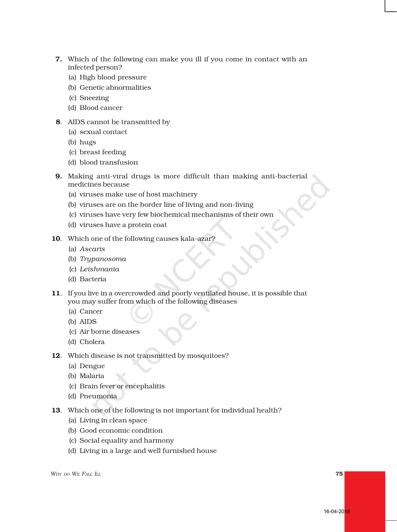- 7. Which of the following can make you ill if you come in contact with an infected person?
	- (a) High blood pressure
	- (b) Genetic abnormalities
	- (c) Sneezing
	- (d) Blood cancer
- 8. AIDS cannot be transmitted by
	- (a) sexual contact
	- (b) hugs
	- (c) breast feeding
	- (d) blood transfusion
- 9. Making anti-viral drugs is more difficult than making anti-bacterial medicines because
	- (a) viruses make use of host machinery
	- (b) viruses are on the border line of living and non-living
	- (c) viruses have very few biochemical mechanisms of their own
	- (d) viruses have a protein coat
- 10. Which one of the following causes kala-azar?
	- (a) *Ascaris*
	- (b) *Trypanosoma*
	- (c) *Leishmania*
	- (d) Bacteria
- 11. If you live in a overcrowded and poorly ventilated house, it is possible that you may suffer from which of the following diseases
	- (a) Cancer
	- (b) AIDS
	- (c) Air borne diseases
	- (d) Cholera
- 12. Which disease is not transmitted by mosquitoes?
	- (a) Dengue
	- (b) Malaria
	- (c) Brain fever or encephalitis
	- (d) Pneumonia
- 13. Which one of the following is not important for individual health?
	- (a) Living in clean space
	- (b) Good economic condition
	- (c) Social equality and harmony
	- (d) Living in a large and well furnished house

*WHY DO WE FALL ILL* 75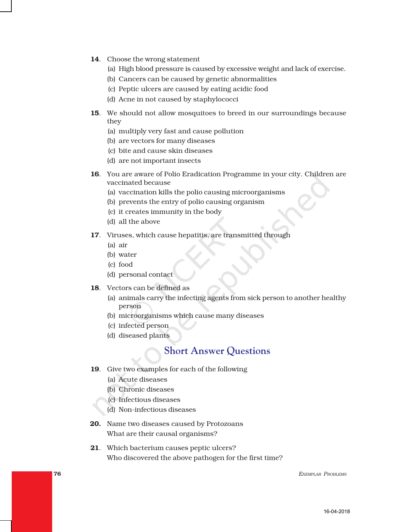- 14. Choose the wrong statement
	- (a) High blood pressure is caused by excessive weight and lack of exercise.
	- (b) Cancers can be caused by genetic abnormalities
	- (c) Peptic ulcers are caused by eating acidic food
	- (d) Acne in not caused by staphylococci
- 15. We should not allow mosquitoes to breed in our surroundings because they
	- (a) multiply very fast and cause pollution
	- (b) are vectors for many diseases
	- (c) bite and cause skin diseases
	- (d) are not important insects
- 16. You are aware of Polio Eradication Programme in your city. Children are vaccinated because
	- (a) vaccination kills the polio causing microorganisms
	- (b) prevents the entry of polio causing organism
	- (c) it creates immunity in the body
	- (d) all the above
- 17. Viruses, which cause hepatitis, are transmitted through
	- (a) air
	- (b) water
	- (c) food
	- (d) personal contact
- 18. Vectors can be defined as
	- (a) animals carry the infecting agents from sick person to another healthy person
	- (b) microorganisms which cause many diseases
	- (c) infected person
	- (d) diseased plants

## **Short Answer Questions**

- 19. Give two examples for each of the following
	- (a) Acute diseases
	- (b) Chronic diseases
	- (c) Infectious diseases
	- (d) Non-infectious diseases
- 20. Name two diseases caused by Protozoans What are their causal organisms?
- 21. Which bacterium causes peptic ulcers? Who discovered the above pathogen for the first time?

76 *EXEMPLAR PROBLEMS*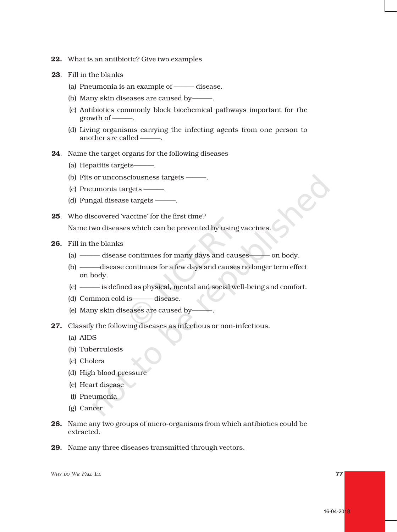- 22. What is an antibiotic? Give two examples
- 23. Fill in the blanks
	- (a) Pneumonia is an example of ——— disease.
	- (b) Many skin diseases are caused by———.
	- (c) Antibiotics commonly block biochemical pathways important for the growth of -
	- (d) Living organisms carrying the infecting agents from one person to another are called ———.
- 24. Name the target organs for the following diseases
	- (a) Hepatitis targets——
	- (b) Fits or unconsciousness targets  $-$
	- (c) Pneumonia targets ———.
	- (d) Fungal disease targets ———.
- 25. Who discovered 'vaccine' for the first time? Name two diseases which can be prevented by using vaccines.
- 26. Fill in the blanks
	- (a) ——— disease continues for many days and causes——— on body.
	- (b) ———disease continues for a few days and causes no longer term effect on body.
	- (c) ——— is defined as physical, mental and social well-being and comfort.
	- (d) Common cold is——— disease.
	- (e) Many skin diseases are caused by-
- 27. Classify the following diseases as infectious or non-infectious.
	- (a) AIDS
	- (b) Tuberculosis
	- (c) Cholera
	- (d) High blood pressure
	- (e) Heart disease
	- (f) Pneumonia
	- (g) Cancer
- 28. Name any two groups of micro-organisms from which antibiotics could be extracted.
- 29. Name any three diseases transmitted through vectors.

*WHY DO WE FALL ILL* 77